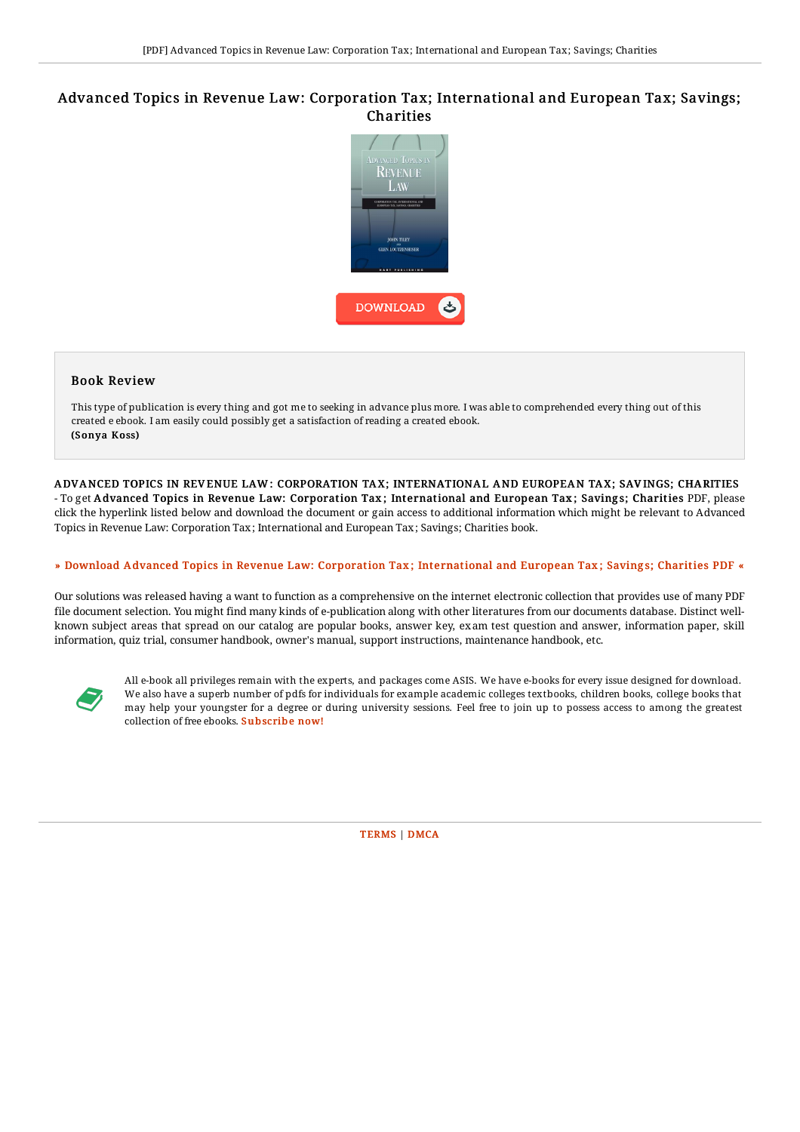## Advanced Topics in Revenue Law: Corporation Tax; International and European Tax; Savings; Charities



## Book Review

This type of publication is every thing and got me to seeking in advance plus more. I was able to comprehended every thing out of this created e ebook. I am easily could possibly get a satisfaction of reading a created ebook. (Sonya Koss)

ADVANCED TOPICS IN REVENUE LAW: CORPORATION TAX; INTERNATIONAL AND EUROPEAN TAX; SAVINGS; CHARITIES - To get Advanced Topics in Revenue Law: Corporation Tax; International and European Tax; Savings; Charities PDF, please click the hyperlink listed below and download the document or gain access to additional information which might be relevant to Advanced Topics in Revenue Law: Corporation Tax; International and European Tax; Savings; Charities book.

## » Download Advanced Topics in Revenue Law: Corporation Tax; [International](http://almighty24.tech/advanced-topics-in-revenue-law-corporation-tax-i.html) and European Tax; Savings; Charities PDF «

Our solutions was released having a want to function as a comprehensive on the internet electronic collection that provides use of many PDF file document selection. You might find many kinds of e-publication along with other literatures from our documents database. Distinct wellknown subject areas that spread on our catalog are popular books, answer key, exam test question and answer, information paper, skill information, quiz trial, consumer handbook, owner's manual, support instructions, maintenance handbook, etc.



All e-book all privileges remain with the experts, and packages come ASIS. We have e-books for every issue designed for download. We also have a superb number of pdfs for individuals for example academic colleges textbooks, children books, college books that may help your youngster for a degree or during university sessions. Feel free to join up to possess access to among the greatest collection of free ebooks. [Subscribe](http://almighty24.tech/advanced-topics-in-revenue-law-corporation-tax-i.html) now!